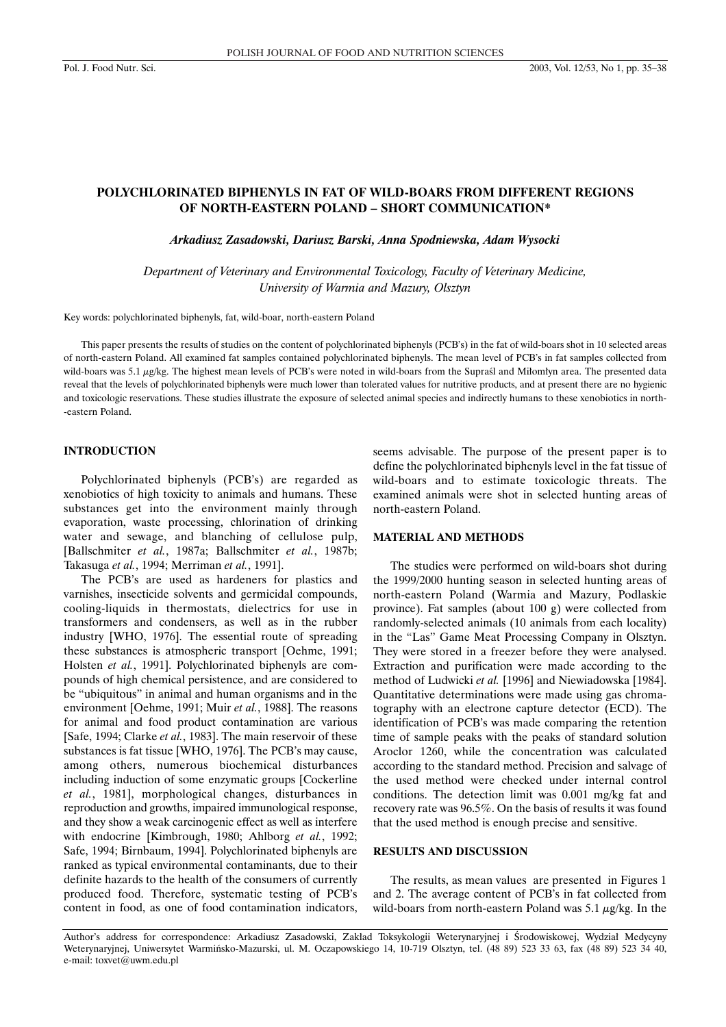# **POLYCHLORINATED BIPHENYLS IN FAT OF WILD-BOARS FROM DIFFERENT REGIONS OF NORTH-EASTERN POLAND – SHORT COMMUNICATION\***

*Arkadiusz Zasadowski, Dariusz Barski, Anna Spodniewska, Adam Wysocki*

*Department of Veterinary and Environmental Toxicology, Faculty of Veterinary Medicine, University of Warmia and Mazury, Olsztyn*

Key words: polychlorinated biphenyls, fat, wild-boar, north-eastern Poland

This paper presents the results of studies on the content of polychlorinated biphenyls (PCB's) in the fat of wild-boars shot in 10 selected areas of north-eastern Poland. All examined fat samples contained polychlorinated biphenyls. The mean level of PCB's in fat samples collected from wild-boars was 5.1 µg/kg. The highest mean levels of PCB's were noted in wild-boars from the Supraśl and Miłomłyn area. The presented data reveal that the levels of polychlorinated biphenyls were much lower than tolerated values for nutritive products, and at present there are no hygienic and toxicologic reservations. These studies illustrate the exposure of selected animal species and indirectly humans to these xenobiotics in north- -eastern Poland.

#### **INTRODUCTION**

Polychlorinated biphenyls (PCB's) are regarded as xenobiotics of high toxicity to animals and humans. These substances get into the environment mainly through evaporation, waste processing, chlorination of drinking water and sewage, and blanching of cellulose pulp, [Ballschmiter *et al.*, 1987a; Ballschmiter *et al.*, 1987b; Takasuga *et al.*, 1994; Merriman *et al.*, 1991].

The PCB's are used as hardeners for plastics and varnishes, insecticide solvents and germicidal compounds, cooling-liquids in thermostats, dielectrics for use in transformers and condensers, as well as in the rubber industry [WHO, 1976]. The essential route of spreading these substances is atmospheric transport [Oehme, 1991; Holsten *et al.*, 1991]. Polychlorinated biphenyls are compounds of high chemical persistence, and are considered to be "ubiquitous" in animal and human organisms and in the environment [Oehme, 1991; Muir *et al.*, 1988]. The reasons for animal and food product contamination are various [Safe, 1994; Clarke *et al.*, 1983]. The main reservoir of these substances is fat tissue [WHO, 1976]. The PCB's may cause, among others, numerous biochemical disturbances including induction of some enzymatic groups [Cockerline *et al.*, 1981], morphological changes, disturbances in reproduction and growths, impaired immunological response, and they show a weak carcinogenic effect as well as interfere with endocrine [Kimbrough, 1980; Ahlborg *et al.*, 1992; Safe, 1994; Birnbaum, 1994]. Polychlorinated biphenyls are ranked as typical environmental contaminants, due to their definite hazards to the health of the consumers of currently produced food. Therefore, systematic testing of PCB's content in food, as one of food contamination indicators,

seems advisable. The purpose of the present paper is to define the polychlorinated biphenyls level in the fat tissue of wild-boars and to estimate toxicologic threats. The examined animals were shot in selected hunting areas of north-eastern Poland.

### **MATERIAL AND METHODS**

The studies were performed on wild-boars shot during the 1999/2000 hunting season in selected hunting areas of north-eastern Poland (Warmia and Mazury, Podlaskie province). Fat samples (about 100 g) were collected from randomly-selected animals (10 animals from each locality) in the "Las" Game Meat Processing Company in Olsztyn. They were stored in a freezer before they were analysed. Extraction and purification were made according to the method of Ludwicki *et al.* [1996] and Niewiadowska [1984]. Quantitative determinations were made using gas chromatography with an electrone capture detector (ECD). The identification of PCB's was made comparing the retention time of sample peaks with the peaks of standard solution Aroclor 1260, while the concentration was calculated according to the standard method. Precision and salvage of the used method were checked under internal control conditions. The detection limit was 0.001 mg/kg fat and recovery rate was 96.5%. On the basis of results it was found that the used method is enough precise and sensitive.

#### **RESULTS AND DISCUSSION**

The results, as mean values are presented in Figures 1 and 2. The average content of PCB's in fat collected from wild-boars from north-eastern Poland was  $5.1 \mu g/kg$ . In the

Author's address for correspondence: Arkadiusz Zasadowski, Zakład Toksykologii Weterynaryjnej i Środowiskowej, Wydział Medycyny Weterynaryjnej, Uniwersytet Warmiƒsko-Mazurski, ul. M. Oczapowskiego 14, 10-719 Olsztyn, tel. (48 89) 523 33 63, fax (48 89) 523 34 40, e-mail: toxvet@uwm.edu.pl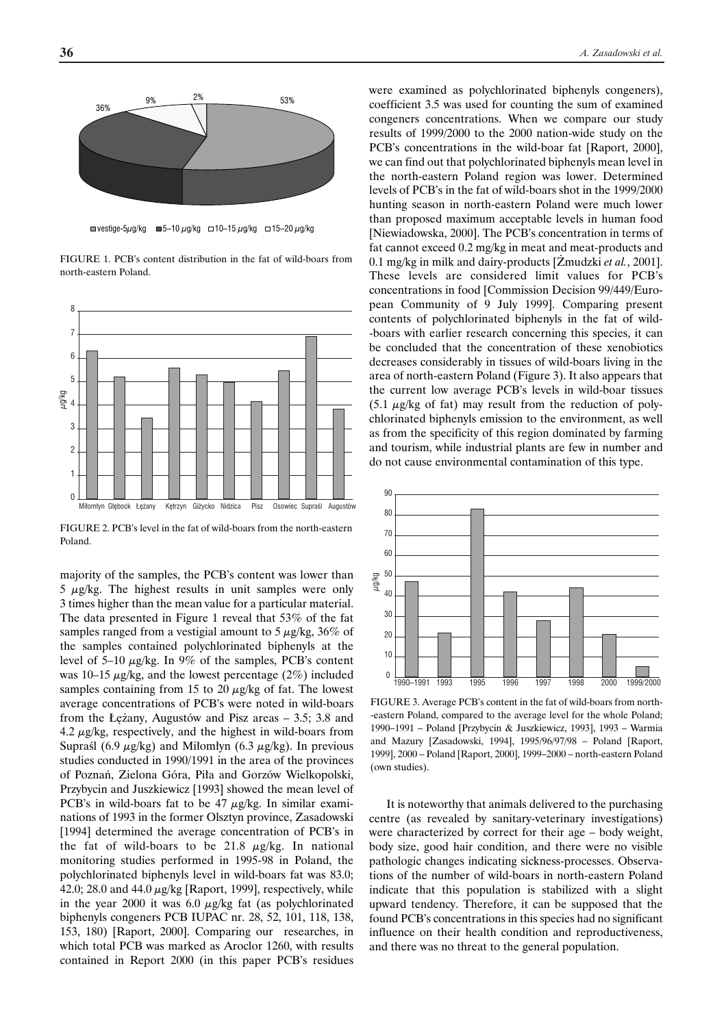



FIGURE 1. PCB's content distribution in the fat of wild-boars from north-eastern Poland.



FIGURE 2. PCB's level in the fat of wild-boars from the north-eastern Poland.

majority of the samples, the PCB's content was lower than  $5 \mu g/kg$ . The highest results in unit samples were only 3 times higher than the mean value for a particular material. The data presented in Figure 1 reveal that 53% of the fat samples ranged from a vestigial amount to  $5 \mu g/kg$ ,  $36\%$  of the samples contained polychlorinated biphenyls at the level of 5–10  $\mu$ g/kg. In 9% of the samples, PCB's content was 10–15  $\mu$ g/kg, and the lowest percentage (2%) included samples containing from 15 to 20  $\mu$ g/kg of fat. The lowest average concentrations of PCB's were noted in wild-boars from the Łężany, Augustów and Pisz areas  $-3.5$ ; 3.8 and 4.2  $\mu$ g/kg, respectively, and the highest in wild-boars from Supraśl (6.9  $\mu$ g/kg) and Miłomłyn (6.3  $\mu$ g/kg). In previous studies conducted in 1990/1991 in the area of the provinces of Poznań, Zielona Góra, Piła and Gorzów Wielkopolski, Przybycin and Juszkiewicz [1993] showed the mean level of PCB's in wild-boars fat to be  $47 \mu g/kg$ . In similar examinations of 1993 in the former Olsztyn province, Zasadowski [1994] determined the average concentration of PCB's in the fat of wild-boars to be 21.8  $\mu$ g/kg. In national monitoring studies performed in 1995-98 in Poland, the polychlorinated biphenyls level in wild-boars fat was 83.0; 42.0; 28.0 and 44.0  $\mu$ g/kg [Raport, 1999], respectively, while in the year 2000 it was  $6.0 \mu g/kg$  fat (as polychlorinated biphenyls congeners PCB IUPAC nr. 28, 52, 101, 118, 138, 153, 180) [Raport, 2000]. Comparing our researches, in which total PCB was marked as Aroclor 1260, with results contained in Report 2000 (in this paper PCB's residues

were examined as polychlorinated biphenyls congeners), coefficient 3.5 was used for counting the sum of examined congeners concentrations. When we compare our study results of 1999/2000 to the 2000 nation-wide study on the PCB's concentrations in the wild-boar fat [Raport, 2000], we can find out that polychlorinated biphenyls mean level in the north-eastern Poland region was lower. Determined levels of PCB's in the fat of wild-boars shot in the 1999/2000 hunting season in north-eastern Poland were much lower than proposed maximum acceptable levels in human food [Niewiadowska, 2000]. The PCB's concentration in terms of fat cannot exceed 0.2 mg/kg in meat and meat-products and 0.1 mg/kg in milk and dairy-products [Zmudzki *et al.*, 2001]. These levels are considered limit values for PCB's concentrations in food [Commission Decision 99/449/European Community of 9 July 1999]. Comparing present contents of polychlorinated biphenyls in the fat of wild- -boars with earlier research concerning this species, it can be concluded that the concentration of these xenobiotics decreases considerably in tissues of wild-boars living in the area of north-eastern Poland (Figure 3). It also appears that the current low average PCB's levels in wild-boar tissues  $(5.1 \mu g/kg)$  of fat) may result from the reduction of polychlorinated biphenyls emission to the environment, as well as from the specificity of this region dominated by farming and tourism, while industrial plants are few in number and do not cause environmental contamination of this type.



FIGURE 3. Average PCB's content in the fat of wild-boars from north- -eastern Poland, compared to the average level for the whole Poland; 1990–1991 – Poland [Przybycin & Juszkiewicz, 1993], 1993 – Warmia and Mazury [Zasadowski, 1994], 1995/96/97/98 – Poland [Raport, 1999], 2000 – Poland [Raport, 2000], 1999–2000 – north-eastern Poland (own studies).

It is noteworthy that animals delivered to the purchasing centre (as revealed by sanitary-veterinary investigations) were characterized by correct for their age – body weight, body size, good hair condition, and there were no visible pathologic changes indicating sickness-processes. Observations of the number of wild-boars in north-eastern Poland indicate that this population is stabilized with a slight upward tendency. Therefore, it can be supposed that the found PCB's concentrations in this species had no significant influence on their health condition and reproductiveness, and there was no threat to the general population.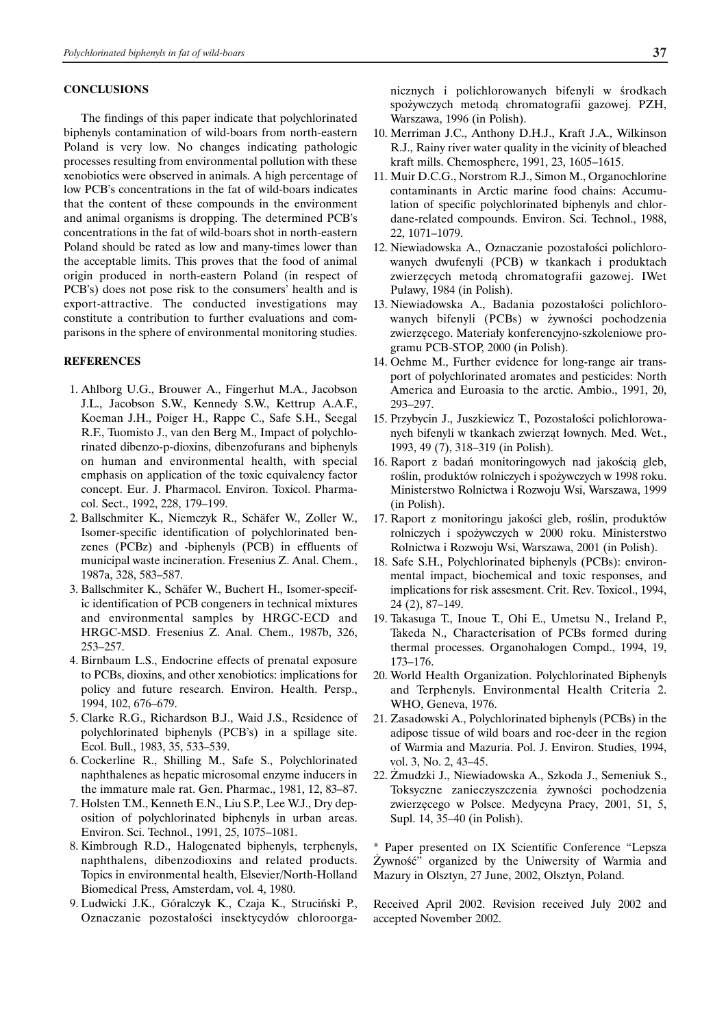#### **CONCLUSIONS**

The findings of this paper indicate that polychlorinated biphenyls contamination of wild-boars from north-eastern Poland is very low. No changes indicating pathologic processes resulting from environmental pollution with these xenobiotics were observed in animals. A high percentage of low PCB's concentrations in the fat of wild-boars indicates that the content of these compounds in the environment and animal organisms is dropping. The determined PCB's concentrations in the fat of wild-boars shot in north-eastern Poland should be rated as low and many-times lower than the acceptable limits. This proves that the food of animal origin produced in north-eastern Poland (in respect of PCB's) does not pose risk to the consumers' health and is export-attractive. The conducted investigations may constitute a contribution to further evaluations and comparisons in the sphere of environmental monitoring studies.

## **REFERENCES**

- 1. Ahlborg U.G., Brouwer A., Fingerhut M.A., Jacobson J.L., Jacobson S.W., Kennedy S.W., Kettrup A.A.F., Koeman J.H., Poiger H., Rappe C., Safe S.H., Seegal R.F., Tuomisto J., van den Berg M., Impact of polychlorinated dibenzo-p-dioxins, dibenzofurans and biphenyls on human and environmental health, with special emphasis on application of the toxic equivalency factor concept. Eur. J. Pharmacol. Environ. Toxicol. Pharmacol. Sect., 1992, 228, 179–199.
- 2. Ballschmiter K., Niemczyk R., Schäfer W., Zoller W., Isomer-specific identification of polychlorinated benzenes (PCBz) and -biphenyls (PCB) in effluents of municipal waste incineration. Fresenius Z. Anal. Chem., 1987a, 328, 583–587.
- 3. Ballschmiter K., Schäfer W., Buchert H., Isomer-specific identification of PCB congeners in technical mixtures and environmental samples by HRGC-ECD and HRGC-MSD. Fresenius Z. Anal. Chem., 1987b, 326, 253–257.
- 4. Birnbaum L.S., Endocrine effects of prenatal exposure to PCBs, dioxins, and other xenobiotics: implications for policy and future research. Environ. Health. Persp., 1994, 102, 676–679.
- 5. Clarke R.G., Richardson B.J., Waid J.S., Residence of polychlorinated biphenyls (PCB's) in a spillage site. Ecol. Bull., 1983, 35, 533–539.
- 6. Cockerline R., Shilling M., Safe S., Polychlorinated naphthalenes as hepatic microsomal enzyme inducers in the immature male rat. Gen. Pharmac., 1981, 12, 83–87.
- 7. Holsten T.M., Kenneth E.N., Liu S.P., Lee W.J., Dry deposition of polychlorinated biphenyls in urban areas. Environ. Sci. Technol., 1991, 25, 1075–1081.
- 8. Kimbrough R.D., Halogenated biphenyls, terphenyls, naphthalens, dibenzodioxins and related products. Topics in environmental health, Elsevier/North-Holland Biomedical Press, Amsterdam, vol. 4, 1980.
- 9. Ludwicki J.K., Góralczyk K., Czaja K., Struciński P., Oznaczanie pozostałości insektycydów chloroorga-

nicznych i polichlorowanych bifenyli w środkach spożywczych metodą chromatografii gazowej. PZH, Warszawa, 1996 (in Polish).

- 10. Merriman J.C., Anthony D.H.J., Kraft J.A., Wilkinson R.J., Rainy river water quality in the vicinity of bleached kraft mills. Chemosphere, 1991, 23, 1605–1615.
- 11. Muir D.C.G., Norstrom R.J., Simon M., Organochlorine contaminants in Arctic marine food chains: Accumulation of specific polychlorinated biphenyls and chlordane-related compounds. Environ. Sci. Technol., 1988, 22, 1071–1079.
- 12. Niewiadowska A., Oznaczanie pozostałości polichlorowanych dwufenyli (PCB) w tkankach i produktach zwierzęcych metodą chromatografii gazowej. IWet Puławy, 1984 (in Polish).
- 13. Niewiadowska A., Badania pozostałości polichlorowanych bifenyli (PCBs) w żywności pochodzenia zwierzęcego. Materiały konferencyjno-szkoleniowe programu PCB-STOP, 2000 (in Polish).
- 14. Oehme M., Further evidence for long-range air transport of polychlorinated aromates and pesticides: North America and Euroasia to the arctic. Ambio., 1991, 20, 293–297.
- 15. Przybycin J., Juszkiewicz T., Pozostałości polichlorowanych bifenyli w tkankach zwierząt łownych. Med. Wet., 1993, 49 (7), 318–319 (in Polish).
- 16. Raport z badań monitoringowych nad jakościa gleb, roÊlin, produktów rolniczych i spo˝ywczych w 1998 roku. Ministerstwo Rolnictwa i Rozwoju Wsi, Warszawa, 1999 (in Polish).
- 17. Raport z monitoringu jakości gleb, roślin, produktów rolniczych i spożywczych w 2000 roku. Ministerstwo Rolnictwa i Rozwoju Wsi, Warszawa, 2001 (in Polish).
- 18. Safe S.H., Polychlorinated biphenyls (PCBs): environmental impact, biochemical and toxic responses, and implications for risk assesment. Crit. Rev. Toxicol., 1994, 24 (2), 87–149.
- 19. Takasuga T., Inoue T., Ohi E., Umetsu N., Ireland P., Takeda N., Characterisation of PCBs formed during thermal processes. Organohalogen Compd., 1994, 19, 173–176.
- 20. World Health Organization. Polychlorinated Biphenyls and Terphenyls. Environmental Health Criteria 2. WHO, Geneva, 1976.
- 21. Zasadowski A., Polychlorinated biphenyls (PCBs) in the adipose tissue of wild boars and roe-deer in the region of Warmia and Mazuria. Pol. J. Environ. Studies, 1994, vol. 3, No. 2, 43–45.
- 22. Zmudzki J., Niewiadowska A., Szkoda J., Semeniuk S., Toksyczne zanieczyszczenia żywności pochodzenia zwierzęcego w Polsce. Medycyna Pracy, 2001, 51, 5, Supl. 14, 35–40 (in Polish).

\* Paper presented on IX Scientific Conference "Lepsza  $Zywność'$  organized by the Uniwersity of Warmia and Mazury in Olsztyn, 27 June, 2002, Olsztyn, Poland.

Received April 2002. Revision received July 2002 and accepted November 2002.